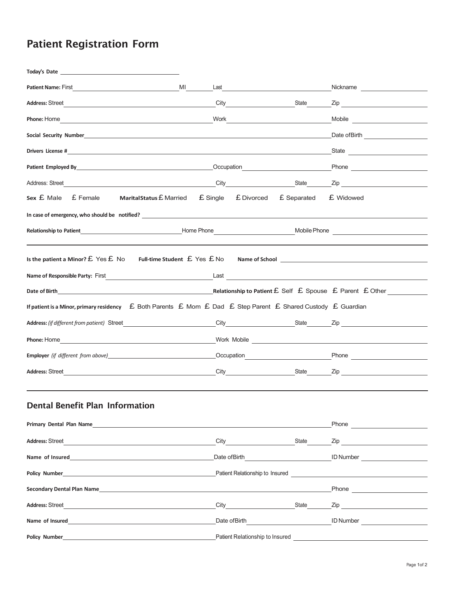## Patient Registration Form

| MI                                                                                                                                                                                                                                               | Last <u>______________________________</u>                                                                                                                                                                                     |             | Nickname                                                                                                                                                                                                                             |  |
|--------------------------------------------------------------------------------------------------------------------------------------------------------------------------------------------------------------------------------------------------|--------------------------------------------------------------------------------------------------------------------------------------------------------------------------------------------------------------------------------|-------------|--------------------------------------------------------------------------------------------------------------------------------------------------------------------------------------------------------------------------------------|--|
|                                                                                                                                                                                                                                                  | City State                                                                                                                                                                                                                     |             | Zip <u>and the second second and the second second second second second second second second second second second second second second second second second second second second second second second second second second secon</u> |  |
|                                                                                                                                                                                                                                                  | Work                                                                                                                                                                                                                           |             | Mobile <b>All Development Contract Contract Contract Contract Contract Contract Contract Contract Contract Contract Contract Contract Contract Contract Contract Contract Contract Contract Contract Contract Contract Contract </b> |  |
|                                                                                                                                                                                                                                                  |                                                                                                                                                                                                                                |             |                                                                                                                                                                                                                                      |  |
|                                                                                                                                                                                                                                                  |                                                                                                                                                                                                                                |             |                                                                                                                                                                                                                                      |  |
| Patient Employed By Communication Communication Communication Communication                                                                                                                                                                      |                                                                                                                                                                                                                                |             |                                                                                                                                                                                                                                      |  |
| Address: Street                                                                                                                                                                                                                                  |                                                                                                                                                                                                                                |             | City State Zip                                                                                                                                                                                                                       |  |
| $Sex \nE Male$ E Female<br>Marital Status £ Married                                                                                                                                                                                              | £ Single<br>£ Divorced                                                                                                                                                                                                         | £ Separated | £ Widowed                                                                                                                                                                                                                            |  |
| In case of emergency, who should be notified? ___________________________________                                                                                                                                                                |                                                                                                                                                                                                                                |             |                                                                                                                                                                                                                                      |  |
|                                                                                                                                                                                                                                                  |                                                                                                                                                                                                                                |             |                                                                                                                                                                                                                                      |  |
|                                                                                                                                                                                                                                                  |                                                                                                                                                                                                                                |             |                                                                                                                                                                                                                                      |  |
| Is the patient a Minor? $E$ Yes $E$ No Full-time Student $E$ Yes $E$ No                                                                                                                                                                          |                                                                                                                                                                                                                                |             |                                                                                                                                                                                                                                      |  |
|                                                                                                                                                                                                                                                  | Last the contract of the contract of the contract of the contract of the contract of the contract of the contract of the contract of the contract of the contract of the contract of the contract of the contract of the contr |             |                                                                                                                                                                                                                                      |  |
| Date of Birth <b>EXECUTE:</b> Relationship to Patient EXEL Spouse EXECUTE: Parent EXECUTE: During the Relationship to Patient EXECUTE: $\mathcal{L}$ Spouse EXECUTE: Parent EXECUTE: $\mathcal{L}$ Spouse EXECUTE: $\mathcal{L}$ Spouse EXECUTE: |                                                                                                                                                                                                                                |             |                                                                                                                                                                                                                                      |  |
| If patient is a Minor, primary residency $\mathcal E$ Both Parents $\mathcal E$ Mom $\mathcal E$ Dad $\mathcal E$ Step Parent $\mathcal E$ Shared Custody $\mathcal E$ Guardian                                                                  |                                                                                                                                                                                                                                |             |                                                                                                                                                                                                                                      |  |
| Address: (if different from patient) Street                                                                                                                                                                                                      |                                                                                                                                                                                                                                |             |                                                                                                                                                                                                                                      |  |
| Phone: Home                                                                                                                                                                                                                                      |                                                                                                                                                                                                                                |             |                                                                                                                                                                                                                                      |  |
|                                                                                                                                                                                                                                                  |                                                                                                                                                                                                                                |             | Occupation <b>Definition</b> Phone                                                                                                                                                                                                   |  |
| <b>Address: Street</b>                                                                                                                                                                                                                           |                                                                                                                                                                                                                                |             | City State Zip                                                                                                                                                                                                                       |  |
|                                                                                                                                                                                                                                                  |                                                                                                                                                                                                                                |             |                                                                                                                                                                                                                                      |  |
| <b>Dental Benefit Plan Information</b>                                                                                                                                                                                                           |                                                                                                                                                                                                                                |             |                                                                                                                                                                                                                                      |  |
| Primary Dental Plan Name <b>Example 2018</b>                                                                                                                                                                                                     |                                                                                                                                                                                                                                |             | Phone <b>Contract Contract Contract Contract Contract Contract Contract Contract Contract Contract Contract Contract Contract Contract Contract Contract Contract Contract Contract Contract Contract Contract Contract Contract</b> |  |
| Address: Street<br><u> 1989 - Johann Stoff, deutscher Stoffen und der Stoffen und der Stoffen und der Stoffen und der Stoffen und der</u>                                                                                                        | City State State                                                                                                                                                                                                               |             |                                                                                                                                                                                                                                      |  |
| Name of Insured                                                                                                                                                                                                                                  |                                                                                                                                                                                                                                |             | Date of Birth <b>D</b> Number                                                                                                                                                                                                        |  |
| <b>Policy Number</b>                                                                                                                                                                                                                             |                                                                                                                                                                                                                                |             |                                                                                                                                                                                                                                      |  |
| Secondary Dental Plan Name <b>Example 2018</b> Secondary Dental Plan Name                                                                                                                                                                        |                                                                                                                                                                                                                                |             | Phone <u>_______________________</u>                                                                                                                                                                                                 |  |
| <b>Address: Street</b>                                                                                                                                                                                                                           | City <u>City</u>                                                                                                                                                                                                               | State       | <b>Zip Example 2018</b>                                                                                                                                                                                                              |  |
| Name of Insured                                                                                                                                                                                                                                  | Date of Birth <b>Exercise 2018</b>                                                                                                                                                                                             |             | ID Number <b>Contract Contract Contract Contract Contract Contract Contract Contract Contract Contract Contract Contract Contract Contract Contract Contract Contract Contract Contract Contract Contract Contract Contract Cont</b> |  |
|                                                                                                                                                                                                                                                  |                                                                                                                                                                                                                                |             |                                                                                                                                                                                                                                      |  |